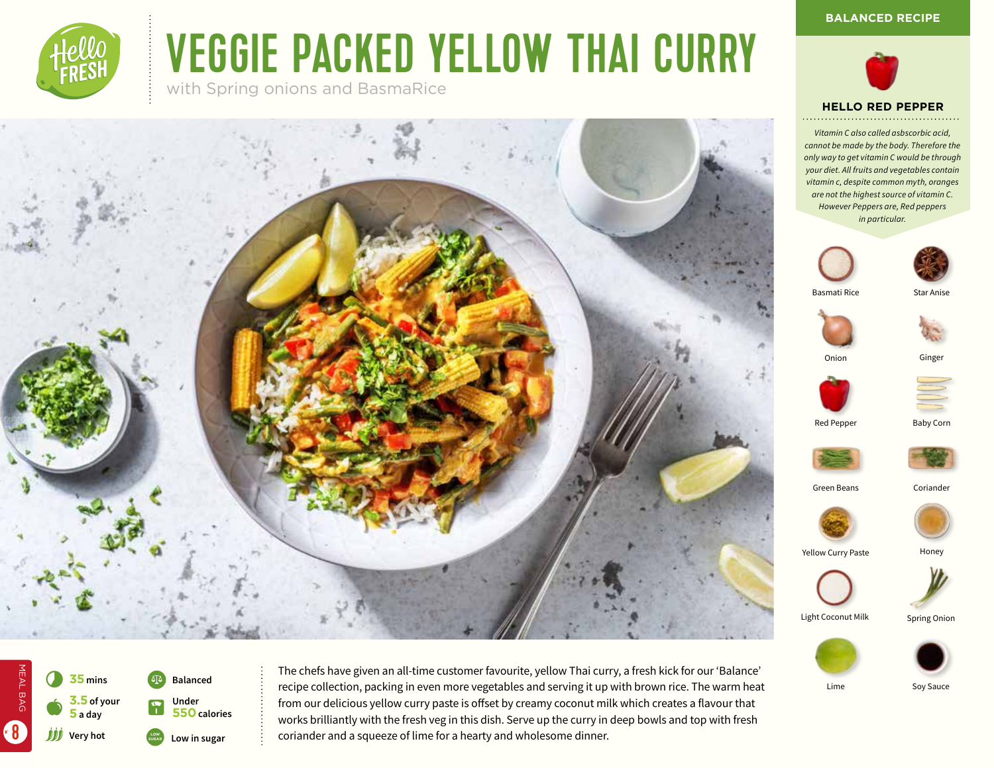

# VEGGIE PACKED YELLOW THAI CURRY

with Spring onions and BasmaRice









Red Pepper Baby Corn



Green Beans Coriander



Yellow Curry Paste



**Honey** 

Light Coconut Milk

Spring Onion





Lime Soy Sauce



MEAL BAG

8

The chefs have given an all-time customer favourite, yellow Thai curry, a fresh kick for our 'Balance' recipe collection, packing in even more vegetables and serving it up with brown rice. The warm heat from our delicious yellow curry paste is offset by creamy coconut milk which creates a flavour that works brilliantly with the fresh veg in this dish. Serve up the curry in deep bowls and top with fresh coriander and a squeeze of lime for a hearty and wholesome dinner.